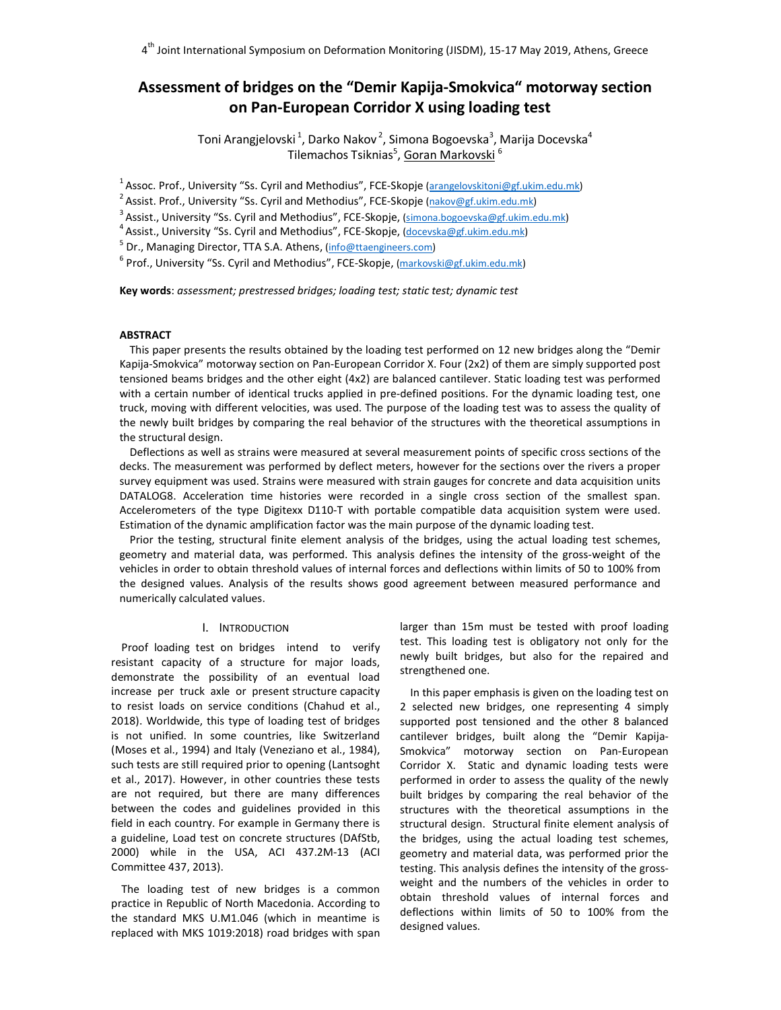# **Assessment of bridges on the "Demir Kapija-Smokvica" motorway section on Pan-European Corridor X using loading test**

Toni Arangjelovski $^1$ , Darko Nakov $^2$ , Simona Bogoevska $^3$ , Marija Docevska $^4$ Tilemachos Tsiknias<sup>5</sup>, <u>Goran Markovski</u> <sup>6</sup>

<sup>1</sup> Assoc. Prof., University "Ss. Cyril and Methodius", FCE-Skopje (arangelovskitoni@gf.ukim.edu.mk)

<sup>2</sup> Assist. Prof., University "Ss. Cyril and Methodius", FCE-Skopje (nakov@gf.ukim.edu.mk)

<sup>3</sup> Assist., University "Ss. Cyril and Methodius", FCE-Skopje, (simona.bogoevska@gf.ukim.edu.mk)

<sup>4</sup> Assist., University "Ss. Cyril and Methodius", FCE-Skopje, (docevska@gf.ukim.edu.mk)

<sup>5</sup> Dr., Managing Director, TTA S.A. Athens, (<u>info@ttaengineers.com</u>)<br><sup>6</sup> Prof., University "Ss. Cyril and Methodius", FCE-Skopje, (markovski@gf.ukim.edu.mk)

**Key words**: *assessment; prestressed bridges; loading test; static test; dynamic test*

## **ABSTRACT**

This paper presents the results obtained by the loading test performed on 12 new bridges along the "Demir Kapija-Smokvica" motorway section on Pan-European Corridor X. Four (2x2) of them are simply supported post tensioned beams bridges and the other eight (4x2) are balanced cantilever. Static loading test was performed with a certain number of identical trucks applied in pre-defined positions. For the dynamic loading test, one truck, moving with different velocities, was used. The purpose of the loading test was to assess the quality of the newly built bridges by comparing the real behavior of the structures with the theoretical assumptions in the structural design.

Deflections as well as strains were measured at several measurement points of specific cross sections of the decks. The measurement was performed by deflect meters, however for the sections over the rivers a proper survey equipment was used. Strains were measured with strain gauges for concrete and data acquisition units DATALOG8. Acceleration time histories were recorded in a single cross section of the smallest span. Accelerometers of the type Digitexx D110-T with portable compatible data acquisition system were used. Estimation of the dynamic amplification factor was the main purpose of the dynamic loading test.

Prior the testing, structural finite element analysis of the bridges, using the actual loading test schemes, geometry and material data, was performed. This analysis defines the intensity of the gross-weight of the vehicles in order to obtain threshold values of internal forces and deflections within limits of 50 to 100% from the designed values. Analysis of the results shows good agreement between measured performance and numerically calculated values.

### I. INTRODUCTION

Proof loading test on bridges intend to verify resistant capacity of a structure for major loads, demonstrate the possibility of an eventual load increase per truck axle or present structure capacity to resist loads on service conditions (Chahud et al., 2018). Worldwide, this type of loading test of bridges is not unified. In some countries, like Switzerland (Moses et al., 1994) and Italy (Veneziano et al., 1984), such tests are still required prior to opening (Lantsoght et al., 2017). However, in other countries these tests are not required, but there are many differences between the codes and guidelines provided in this field in each country. For example in Germany there is a guideline, Load test on concrete structures (DAfStb, 2000) while in the USA, ACI 437.2M-13 (ACI Committee 437, 2013).

The loading test of new bridges is a common practice in Republic of North Macedonia. According to the standard MKS U.M1.046 (which in meantime is replaced with MKS 1019:2018) road bridges with span

larger than 15m must be tested with proof loading test. This loading test is obligatory not only for the newly built bridges, but also for the repaired and strengthened one.

In this paper emphasis is given on the loading test on 2 selected new bridges, one representing 4 simply supported post tensioned and the other 8 balanced cantilever bridges, built along the "Demir Kapija-Smokvica" motorway section on Pan-European Corridor X. Static and dynamic loading tests were performed in order to assess the quality of the newly built bridges by comparing the real behavior of the structures with the theoretical assumptions in the structural design. Structural finite element analysis of the bridges, using the actual loading test schemes, geometry and material data, was performed prior the testing. This analysis defines the intensity of the grossweight and the numbers of the vehicles in order to obtain threshold values of internal forces and deflections within limits of 50 to 100% from the designed values.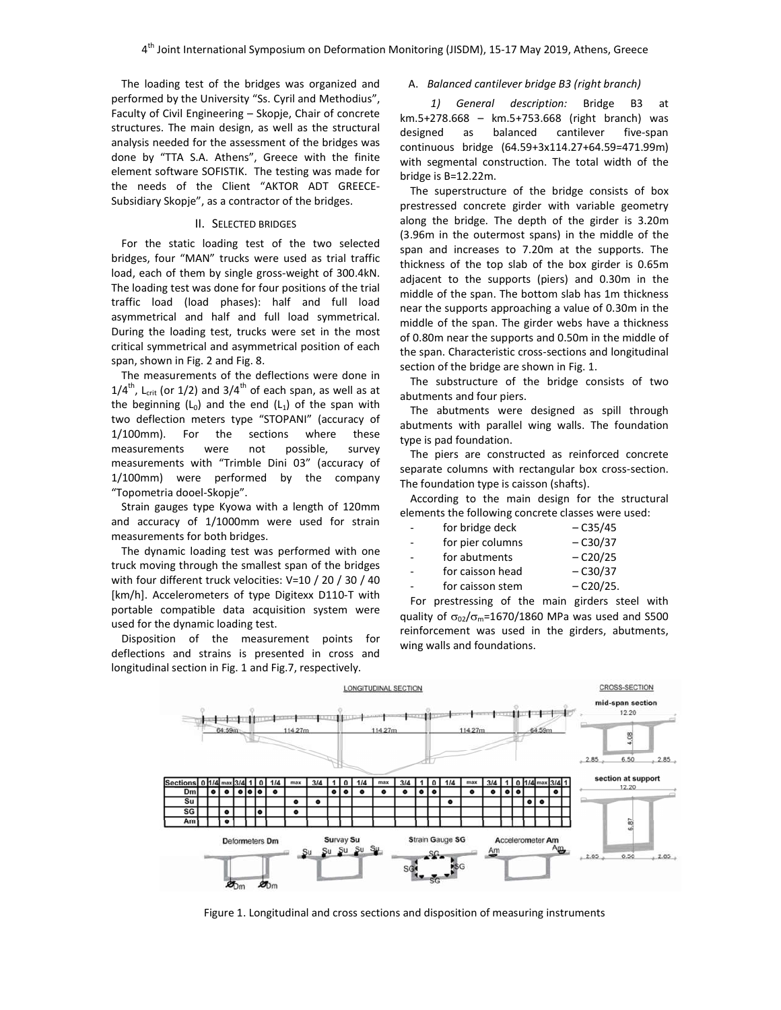The loading test of the bridges was organized and performed by the University "Ss. Cyril and Methodius", Faculty of Civil Engineering – Skopje, Chair of concrete structures. The main design, as well as the structural analysis needed for the assessment of the bridges was done by "TTA S.A. Athens", Greece with the finite element software SOFISTIK. The testing was made for the needs of the Client "AKTOR ADT GREECE-Subsidiary Skopje", as a contractor of the bridges.

#### II. SELECTED BRIDGES

For the static loading test of the two selected bridges, four "MAN" trucks were used as trial traffic load, each of them by single gross-weight of 300.4kN. The loading test was done for four positions of the trial traffic load (load phases): half and full load asymmetrical and half and full load symmetrical. During the loading test, trucks were set in the most critical symmetrical and asymmetrical position of each span, shown in Fig. 2 and Fig. 8.

The measurements of the deflections were done in  $1/4^{\text{th}}$ , L<sub>crit</sub> (or 1/2) and 3/4<sup>th</sup> of each span, as well as at the beginning  $(L_0)$  and the end  $(L_1)$  of the span with two deflection meters type "STOPANI" (accuracy of 1/100mm). For the sections where these measurements were not possible, survey measurements with "Trimble Dini 03" (accuracy of 1/100mm) were performed by the company "Topometria dooel-Skopje".

Strain gauges type Kyowa with a length of 120mm and accuracy of 1/1000mm were used for strain measurements for both bridges.

The dynamic loading test was performed with one truck moving through the smallest span of the bridges with four different truck velocities: V=10 / 20 / 30 / 40 [km/h]. Accelerometers of type Digitexx D110-T with portable compatible data acquisition system were used for the dynamic loading test.

Disposition of the measurement points for deflections and strains is presented in cross and longitudinal section in Fig. 1 and Fig.7, respectively.

#### A. *Balanced cantilever bridge B3 (right branch)*

*1) General description:* Bridge B3 at km.5+278.668 – km.5+753.668 (right branch) was designed as balanced cantilever five-span continuous bridge (64.59+3x114.27+64.59=471.99m) with segmental construction. The total width of the bridge is В=12.22m.

The superstructure of the bridge consists of box prestressed concrete girder with variable geometry along the bridge. The depth of the girder is 3.20m (3.96m in the outermost spans) in the middle of the span and increases to 7.20m at the supports. The thickness of the top slab of the box girder is 0.65m adjacent to the supports (piers) and 0.30m in the middle of the span. The bottom slab has 1m thickness near the supports approaching a value of 0.30m in the middle of the span. The girder webs have a thickness of 0.80m near the supports and 0.50m in the middle of the span. Characteristic cross-sections and longitudinal section of the bridge are shown in Fig. 1.

The substructure of the bridge consists of two abutments and four piers.

The abutments were designed as spill through abutments with parallel wing walls. The foundation type is pad foundation.

The piers are constructed as reinforced concrete separate columns with rectangular box cross-section. The foundation type is caisson (shafts).

According to the main design for the structural elements the following concrete classes were used:

| $\overline{\phantom{0}}$ | for bridge deck  | $-C35/45$ |
|--------------------------|------------------|-----------|
| -                        | for pier columns | $-C30/37$ |
|                          | $for$ abutmants  | 0.20125   |

| for abutments    | $-C20/25$ |
|------------------|-----------|
| for caisson head | $-C30/37$ |

for caisson stem  $-$  C20/25.

For prestressing of the main girders steel with quality of  $\sigma_{02}/\sigma_{\rm m}$ =1670/1860 MPa was used and S500 reinforcement was used in the girders, abutments, wing walls and foundations.



Figure 1. Longitudinal and cross sections and disposition of measuring instruments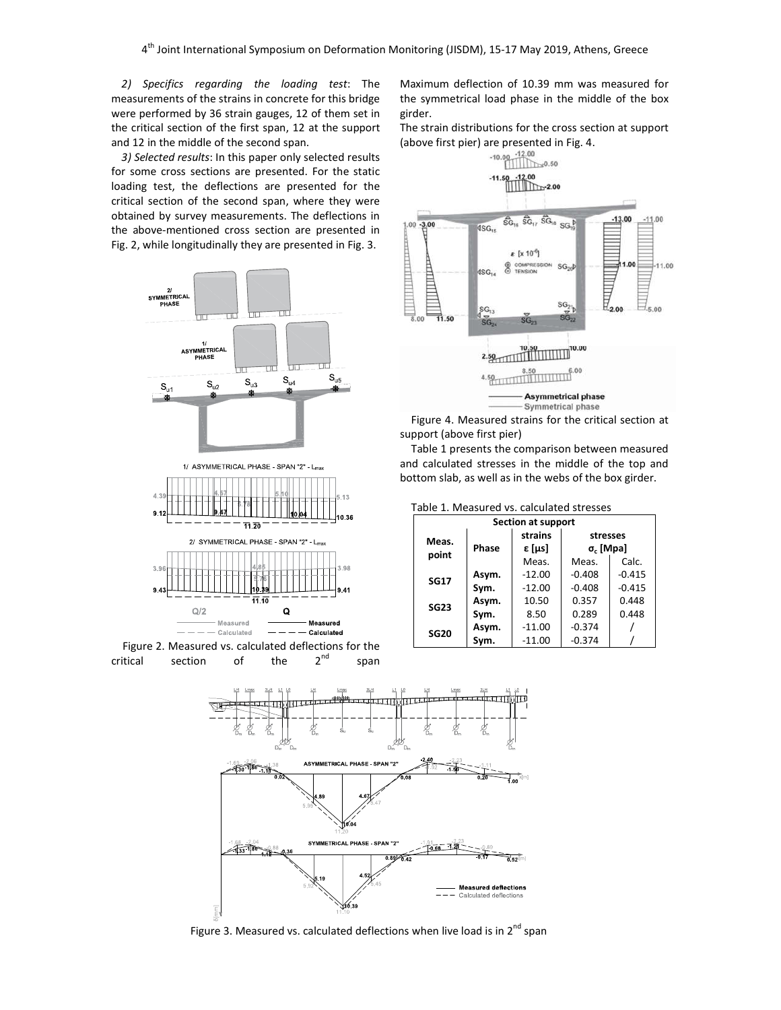*2) Specifics regarding the loading test*: The measurements of the strains in concrete for this bridge were performed by 36 strain gauges, 12 of them set in the critical section of the first span, 12 at the support and 12 in the middle of the second span.

*3) Selected results*: In this paper only selected results for some cross sections are presented. For the static loading test, the deflections are presented for the critical section of the second span, where they were obtained by survey measurements. The deflections in the above-mentioned cross section are presented in Fig. 2, while longitudinally they are presented in Fig. 3.





Maximum deflection of 10.39 mm was measured for the symmetrical load phase in the middle of the box girder.

The strain distributions for the cross section at support (above first pier) are presented in Fig. 4.



Figure 4. Measured strains for the critical section at support (above first pier)

Table 1 presents the comparison between measured and calculated stresses in the middle of the top and bottom slab, as well as in the webs of the box girder.

| נטאוכ ±. וויוכטטטו כט וט. כטוכטוטנכט טנו כטטכט |         |          |                  |          |
|------------------------------------------------|---------|----------|------------------|----------|
| Section at support                             |         |          |                  |          |
| Meas.                                          | strains |          | stresses         |          |
| point                                          | Phase   | ε [μs]   | $\sigma_c$ [Mpa] |          |
|                                                |         | Meas.    | Meas.            | Calc.    |
| <b>SG17</b>                                    | Asym.   | $-12.00$ | $-0.408$         | $-0.415$ |
|                                                | Sym.    | $-12.00$ | $-0.408$         | $-0.415$ |
| <b>SG23</b>                                    | Asym.   | 10.50    | 0.357            | 0.448    |
|                                                | Sym.    | 8.50     | 0.289            | 0.448    |
| <b>SG20</b>                                    | Asym.   | $-11.00$ | $-0.374$         |          |
|                                                | Sym.    | $-11.00$ | $-0.374$         |          |





Figure 3. Measured vs. calculated deflections when live load is in  $2^{nd}$  span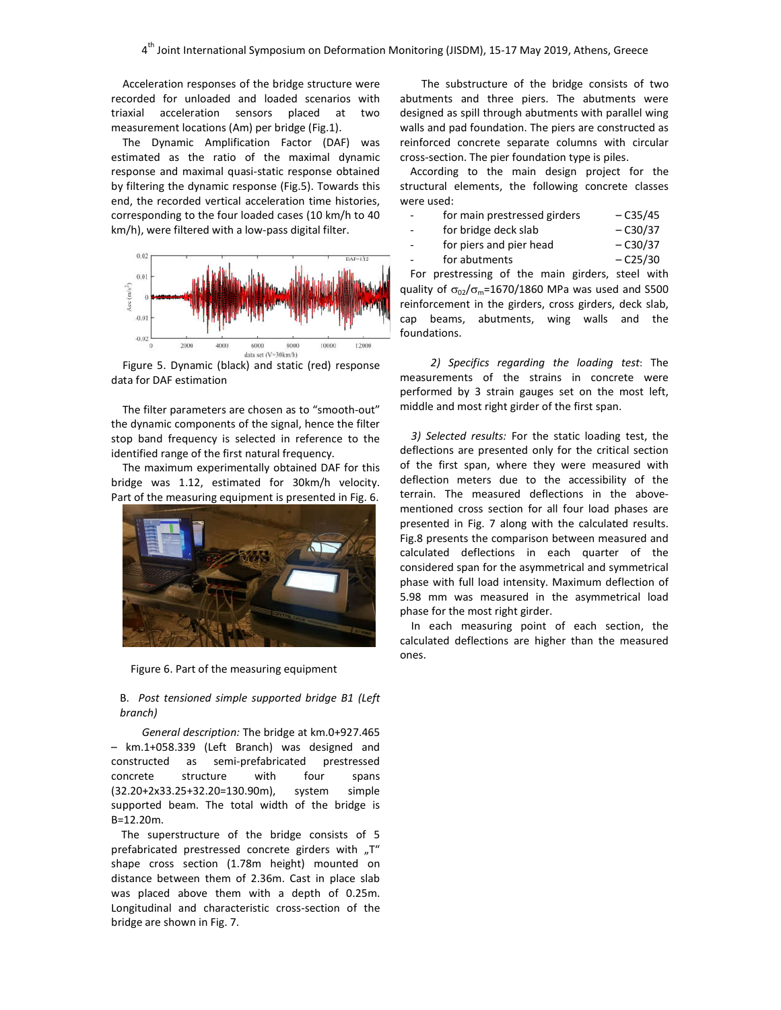Acceleration responses of the bridge structure were recorded for unloaded and loaded scenarios with triaxial acceleration sensors placed at two measurement locations (Am) per bridge (Fig.1).

The Dynamic Amplification Factor (DAF) was estimated as the ratio of the maximal dynamic response and maximal quasi-static response obtained by filtering the dynamic response (Fig.5). Towards this end, the recorded vertical acceleration time histories, corresponding to the four loaded cases (10 km/h to 40 km/h), were filtered with a low-pass digital filter.



Figure 5. Dynamic (black) and static (red) response data for DAF estimation

The filter parameters are chosen as to "smooth-out" the dynamic components of the signal, hence the filter stop band frequency is selected in reference to the identified range of the first natural frequency.

The maximum experimentally obtained DAF for this bridge was 1.12, estimated for 30km/h velocity. Part of the measuring equipment is presented in Fig. 6.



Figure 6. Part of the measuring equipment

B. *Post tensioned simple supported bridge B1 (Left branch)*

*General description:* The bridge at km.0+927.465 – km.1+058.339 (Left Branch) was designed and constructed as semi-prefabricated prestressed concrete structure with four spans (32.20+2x33.25+32.20=130.90m), system simple supported beam. The total width of the bridge is В=12.20m.

The superstructure of the bridge consists of 5 prefabricated prestressed concrete girders with "T" shape cross section (1.78m height) mounted on distance between them of 2.36m. Cast in place slab was placed above them with a depth of 0.25m. Longitudinal and characteristic cross-section of the bridge are shown in Fig. 7.

The substructure of the bridge consists of two abutments and three piers. The abutments were designed as spill through abutments with parallel wing walls and pad foundation. The piers are constructed as reinforced concrete separate columns with circular cross-section. The pier foundation type is piles.

According to the main design project for the structural elements, the following concrete classes were used:

|  | for main prestressed girders | $-C35/45$ |
|--|------------------------------|-----------|
|--|------------------------------|-----------|

- for bridge deck slab C30/37
- for piers and pier head  $-$  C30/37
- $for$  abutments  $-$  C25/30

For prestressing of the main girders, steel with quality of  $\sigma_{02}/\sigma_{\rm m}$ =1670/1860 MPa was used and S500 reinforcement in the girders, cross girders, deck slab, cap beams, abutments, wing walls and the foundations.

*2) Specifics regarding the loading test*: The measurements of the strains in concrete were performed by 3 strain gauges set on the most left, middle and most right girder of the first span.

*3) Selected results:* For the static loading test, the deflections are presented only for the critical section of the first span, where they were measured with deflection meters due to the accessibility of the terrain. The measured deflections in the abovementioned cross section for all four load phases are presented in Fig. 7 along with the calculated results. Fig.8 presents the comparison between measured and calculated deflections in each quarter of the considered span for the asymmetrical and symmetrical phase with full load intensity. Maximum deflection of 5.98 mm was measured in the asymmetrical load phase for the most right girder.

In each measuring point of each section, the calculated deflections are higher than the measured ones.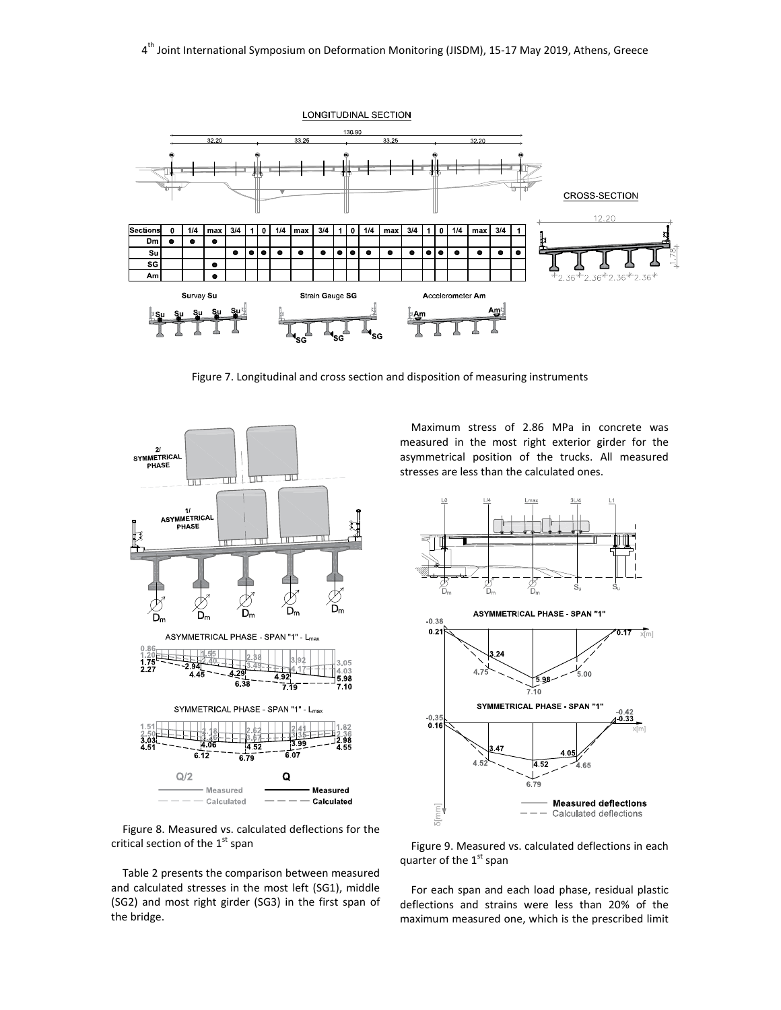

Figure 7. Longitudinal and cross section and disposition of measuring instruments



Maximum stress of 2.86 MPa in concrete was measured in the most right exterior girder for the asymmetrical position of the trucks. All measured stresses are less than the calculated ones.



Figure 8. Measured vs. calculated deflections for the critical section of the  $1<sup>st</sup>$  span

Table 2 presents the comparison between measured and calculated stresses in the most left (SG1), middle (SG2) and most right girder (SG3) in the first span of the bridge.

Figure 9. Measured vs. calculated deflections in each quarter of the  $1<sup>st</sup>$  span

For each span and each load phase, residual plastic deflections and strains were less than 20% of the maximum measured one, which is the prescribed limit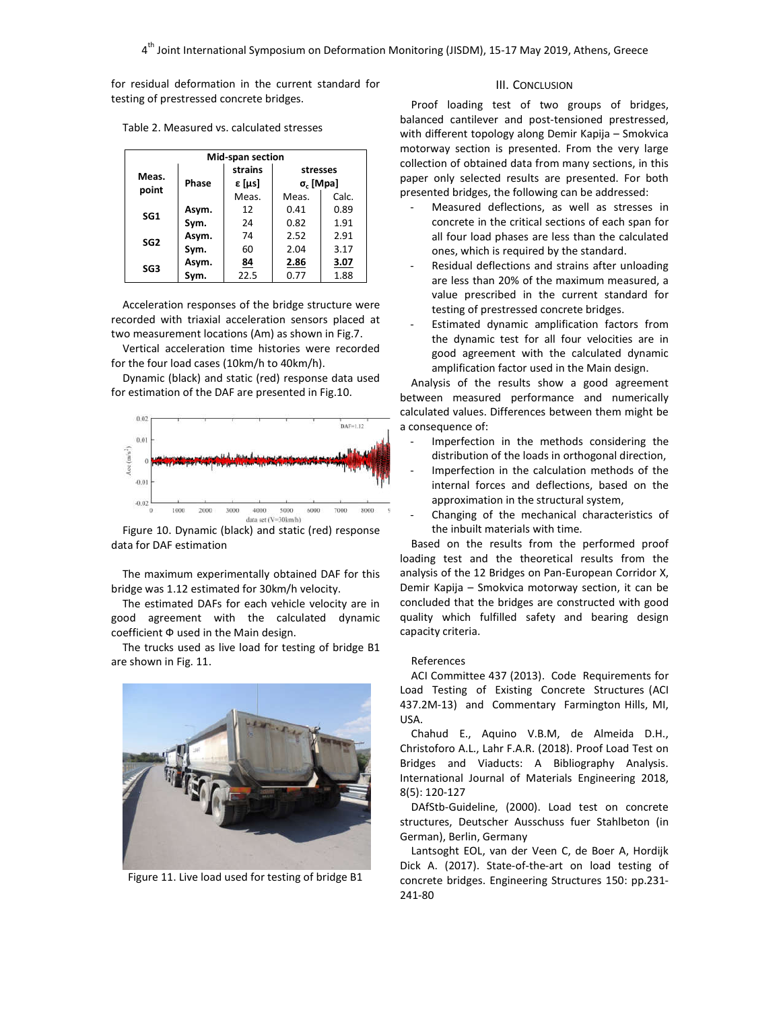for residual deformation in the current standard for testing of prestressed concrete bridges.

Table 2. Measured vs. calculated stresses

| <b>Mid-span section</b> |       |                          |                              |       |
|-------------------------|-------|--------------------------|------------------------------|-------|
| Meas.<br>point          | Phase | strains<br><b>ε [μs]</b> | stresses<br>$\sigma_c$ [Mpa] |       |
|                         |       | Meas.                    | Meas.                        | Calc. |
| SG <sub>1</sub>         | Asym. | 12                       | 0.41                         | 0.89  |
|                         | Sym.  | 24                       | 0.82                         | 1.91  |
| SG <sub>2</sub>         | Asym. | 74                       | 2.52                         | 2.91  |
|                         | Sym.  | 60                       | 2.04                         | 3.17  |
| SG <sub>3</sub>         | Asym. | <u>84</u>                | 2.86                         | 3.07  |
|                         | Sym.  | 22.5                     | 0.77                         | 1.88  |

Acceleration responses of the bridge structure were recorded with triaxial acceleration sensors placed at two measurement locations (Am) as shown in Fig.7.

Vertical acceleration time histories were recorded for the four load cases (10km/h to 40km/h).

Dynamic (black) and static (red) response data used for estimation of the DAF are presented in Fig.10.



Figure 10. Dynamic (black) and static (red) response data for DAF estimation

The maximum experimentally obtained DAF for this bridge was 1.12 estimated for 30km/h velocity.

The estimated DAFs for each vehicle velocity are in good agreement with the calculated dynamic coefficient Ф used in the Main design.

The trucks used as live load for testing of bridge B1 are shown in Fig. 11.



Figure 11. Live load used for testing of bridge B1

## III. CONCLUSION

Proof loading test of two groups of bridges, balanced cantilever and post-tensioned prestressed, with different topology along Demir Kapija – Smokvica motorway section is presented. From the very large collection of obtained data from many sections, in this paper only selected results are presented. For both presented bridges, the following can be addressed:

- Measured deflections, as well as stresses in concrete in the critical sections of each span for all four load phases are less than the calculated ones, which is required by the standard.
- Residual deflections and strains after unloading are less than 20% of the maximum measured, a value prescribed in the current standard for testing of prestressed concrete bridges.
- Estimated dynamic amplification factors from the dynamic test for all four velocities are in good agreement with the calculated dynamic amplification factor used in the Main design.

Analysis of the results show a good agreement between measured performance and numerically calculated values. Differences between them might be a consequence of:

- Imperfection in the methods considering the distribution of the loads in orthogonal direction,
- Imperfection in the calculation methods of the internal forces and deflections, based on the approximation in the structural system,
- Changing of the mechanical characteristics of the inbuilt materials with time.

Based on the results from the performed proof loading test and the theoretical results from the analysis of the 12 Bridges on Pan-European Corridor X, Demir Kapija – Smokvica motorway section, it can be concluded that the bridges are constructed with good quality which fulfilled safety and bearing design capacity criteria.

#### References

ACI Committee 437 (2013). Code Requirements for Load Testing of Existing Concrete Structures (ACI 437.2M-13) and Commentary Farmington Hills, MI, USA.

Chahud E., Aquino V.B.M, de Almeida D.H., Christoforo A.L., Lahr F.A.R. (2018). Proof Load Test on Bridges and Viaducts: A Bibliography Analysis. International Journal of Materials Engineering 2018, 8(5): 120-127

DAfStb-Guideline, (2000). Load test on concrete structures, Deutscher Ausschuss fuer Stahlbeton (in German), Berlin, Germany

Lantsoght EOL, van der Veen C, de Boer A, Hordijk Dick A. (2017). State-of-the-art on load testing of concrete bridges. Engineering Structures 150: pp.231- 241-80